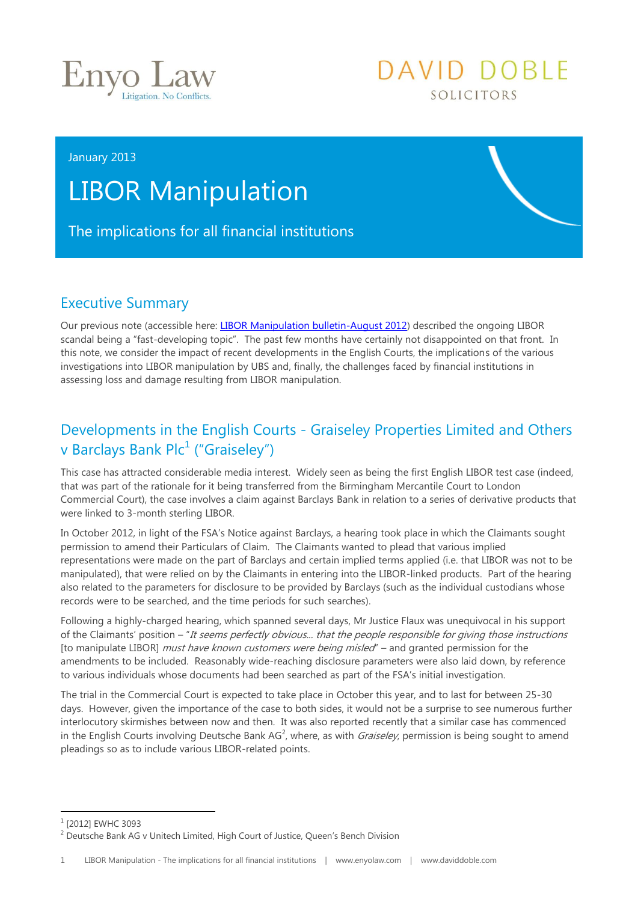

#### January 2013

# LIBOR Manipulation

The implications for all financial institutions

### Executive Summary

Our previous note (accessible here: [LIBOR Manipulation bulletin-August 2012\)](http://media.wix.com/ugd/a119a3_5b856a3625cb1e0f56232f647c23b78e.pdf) described the ongoing LIBOR scandal being a "fast-developing topic". The past few months have certainly not disappointed on that front. In this note, we consider the impact of recent developments in the English Courts, the implications of the various investigations into LIBOR manipulation by UBS and, finally, the challenges faced by financial institutions in assessing loss and damage resulting from LIBOR manipulation.

DAVID DOBLE

SOLICITORS

## Developments in the English Courts - Graiseley Properties Limited and Others v Barclays Bank Plc<sup>1</sup> ("Graiseley")

This case has attracted considerable media interest. Widely seen as being the first English LIBOR test case (indeed, that was part of the rationale for it being transferred from the Birmingham Mercantile Court to London Commercial Court), the case involves a claim against Barclays Bank in relation to a series of derivative products that were linked to 3-month sterling LIBOR.

In October 2012, in light of the FSA's Notice against Barclays, a hearing took place in which the Claimants sought permission to amend their Particulars of Claim. The Claimants wanted to plead that various implied representations were made on the part of Barclays and certain implied terms applied (i.e. that LIBOR was not to be manipulated), that were relied on by the Claimants in entering into the LIBOR-linked products. Part of the hearing also related to the parameters for disclosure to be provided by Barclays (such as the individual custodians whose records were to be searched, and the time periods for such searches).

Following a highly-charged hearing, which spanned several days, Mr Justice Flaux was unequivocal in his support of the Claimants' position – "It seems perfectly obvious... that the people responsible for giving those instructions [to manipulate LIBOR] must have known customers were being misled" – and granted permission for the amendments to be included. Reasonably wide-reaching disclosure parameters were also laid down, by reference to various individuals whose documents had been searched as part of the FSA's initial investigation.

The trial in the Commercial Court is expected to take place in October this year, and to last for between 25-30 days. However, given the importance of the case to both sides, it would not be a surprise to see numerous further interlocutory skirmishes between now and then. It was also reported recently that a similar case has commenced in the English Courts involving Deutsche Bank AG<sup>2</sup>, where, as with *Graiseley*, permission is being sought to amend pleadings so as to include various LIBOR-related points.

-

<sup>&</sup>lt;sup>1</sup> [2012] EWHC 3093

<sup>&</sup>lt;sup>2</sup> Deutsche Bank AG v Unitech Limited, High Court of Justice, Queen's Bench Division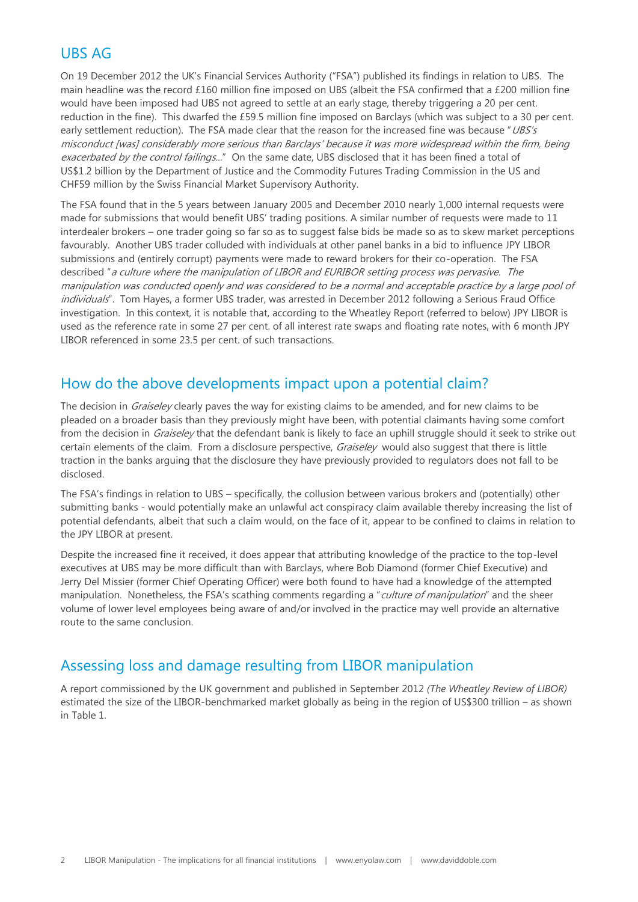#### UBS AG

On 19 December 2012 the UK's Financial Services Authority ("FSA") published its findings in relation to UBS. The main headline was the record £160 million fine imposed on UBS (albeit the FSA confirmed that a £200 million fine would have been imposed had UBS not agreed to settle at an early stage, thereby triggering a 20 per cent. reduction in the fine). This dwarfed the £59.5 million fine imposed on Barclays (which was subject to a 30 per cent. early settlement reduction). The FSA made clear that the reason for the increased fine was because "UBS's misconduct [was] considerably more serious than Barclays' because it was more widespread within the firm, being exacerbated by the control failings..." On the same date, UBS disclosed that it has been fined a total of US\$1.2 billion by the Department of Justice and the Commodity Futures Trading Commission in the US and CHF59 million by the Swiss Financial Market Supervisory Authority.

The FSA found that in the 5 years between January 2005 and December 2010 nearly 1,000 internal requests were made for submissions that would benefit UBS' trading positions. A similar number of requests were made to 11 interdealer brokers – one trader going so far so as to suggest false bids be made so as to skew market perceptions favourably. Another UBS trader colluded with individuals at other panel banks in a bid to influence JPY LIBOR submissions and (entirely corrupt) payments were made to reward brokers for their co-operation. The FSA described "a culture where the manipulation of LIBOR and EURIBOR setting process was pervasive. The manipulation was conducted openly and was considered to be a normal and acceptable practice by a large pool of individuals". Tom Hayes, a former UBS trader, was arrested in December 2012 following a Serious Fraud Office investigation. In this context, it is notable that, according to the Wheatley Report (referred to below) JPY LIBOR is used as the reference rate in some 27 per cent. of all interest rate swaps and floating rate notes, with 6 month JPY LIBOR referenced in some 23.5 per cent. of such transactions.

#### How do the above developments impact upon a potential claim?

The decision in *Graiseley* clearly paves the way for existing claims to be amended, and for new claims to be pleaded on a broader basis than they previously might have been, with potential claimants having some comfort from the decision in *Graiseley* that the defendant bank is likely to face an uphill struggle should it seek to strike out certain elements of the claim. From a disclosure perspective, *Graiseley* would also suggest that there is little traction in the banks arguing that the disclosure they have previously provided to regulators does not fall to be disclosed.

The FSA's findings in relation to UBS – specifically, the collusion between various brokers and (potentially) other submitting banks - would potentially make an unlawful act conspiracy claim available thereby increasing the list of potential defendants, albeit that such a claim would, on the face of it, appear to be confined to claims in relation to the JPY LIBOR at present.

Despite the increased fine it received, it does appear that attributing knowledge of the practice to the top-level executives at UBS may be more difficult than with Barclays, where Bob Diamond (former Chief Executive) and Jerry Del Missier (former Chief Operating Officer) were both found to have had a knowledge of the attempted manipulation. Nonetheless, the FSA's scathing comments regarding a "*culture of manipulation*" and the sheer volume of lower level employees being aware of and/or involved in the practice may well provide an alternative route to the same conclusion.

### Assessing loss and damage resulting from LIBOR manipulation

A report commissioned by the UK government and published in September 2012 *(The Wheatley Review of LIBOR)*  estimated the size of the LIBOR-benchmarked market globally as being in the region of US\$300 trillion – as shown in Table 1.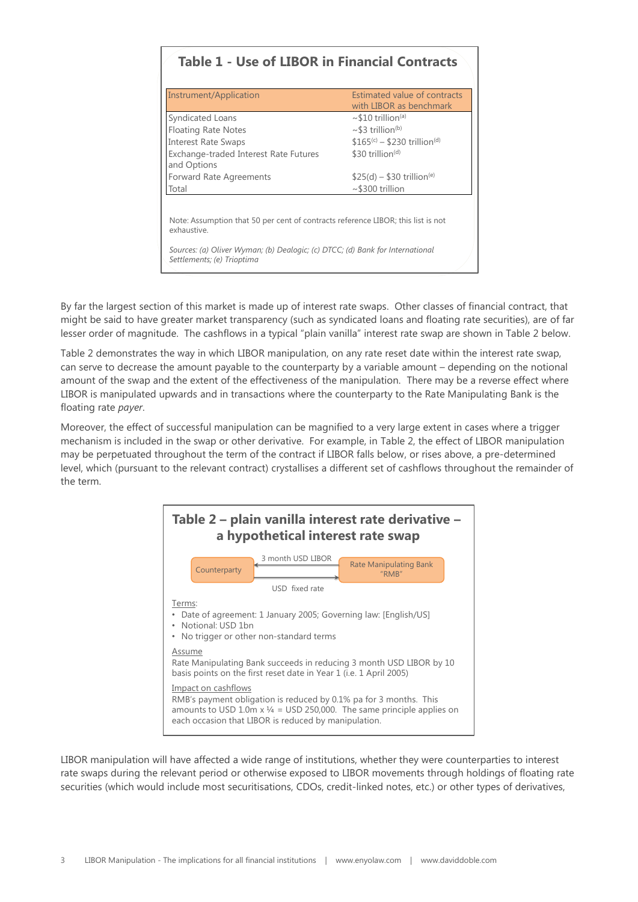#### **Table 1 - Use of LIBOR in Financial Contracts**

| Instrument/Application                                                                                      | Estimated value of contracts<br>with LIBOR as benchmark |
|-------------------------------------------------------------------------------------------------------------|---------------------------------------------------------|
| Syndicated Loans                                                                                            | $\sim$ \$10 trillion <sup>(a)</sup>                     |
| <b>Floating Rate Notes</b>                                                                                  | $\sim$ \$3 trillion <sup>(b)</sup>                      |
| <b>Interest Rate Swaps</b>                                                                                  | $$165^{(c)} - $230 \text{ trillion}^{(d)}$$             |
| Exchange-traded Interest Rate Futures<br>and Options                                                        | \$30 trillion $(d)$                                     |
| Forward Rate Agreements                                                                                     | $$25(d) - $30$ trillion <sup>(e)</sup>                  |
| Total                                                                                                       | $\sim$ \$300 trillion                                   |
| Note: Assumption that 50 per cent of contracts reference LIBOR; this list is not<br>exhaustive.             |                                                         |
| Sources: (a) Oliver Wyman; (b) Dealogic; (c) DTCC; (d) Bank for International<br>Settlements; (e) Trioptima |                                                         |

By far the largest section of this market is made up of interest rate swaps. Other classes of financial contract, that might be said to have greater market transparency (such as syndicated loans and floating rate securities), are of far lesser order of magnitude. The cashflows in a typical "plain vanilla" interest rate swap are shown in Table 2 below.

Table 2 demonstrates the way in which LIBOR manipulation, on any rate reset date within the interest rate swap, can serve to decrease the amount payable to the counterparty by a variable amount – depending on the notional amount of the swap and the extent of the effectiveness of the manipulation. There may be a reverse effect where LIBOR is manipulated upwards and in transactions where the counterparty to the Rate Manipulating Bank is the floating rate *payer*.

Moreover, the effect of successful manipulation can be magnified to a very large extent in cases where a trigger mechanism is included in the swap or other derivative. For example, in Table 2, the effect of LIBOR manipulation may be perpetuated throughout the term of the contract if LIBOR falls below, or rises above, a pre-determined level, which (pursuant to the relevant contract) crystallises a different set of cashflows throughout the remainder of the term.



LIBOR manipulation will have affected a wide range of institutions, whether they were counterparties to interest rate swaps during the relevant period or otherwise exposed to LIBOR movements through holdings of floating rate securities (which would include most securitisations, CDOs, credit-linked notes, etc.) or other types of derivatives,